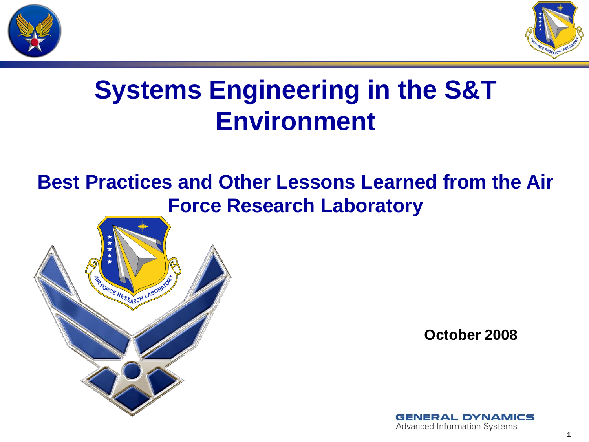



# **Systems Engineering in the S&T Environment**

#### **Best Practices and Other Lessons Learned from the Air Force Research Laboratory**



**October 2008**

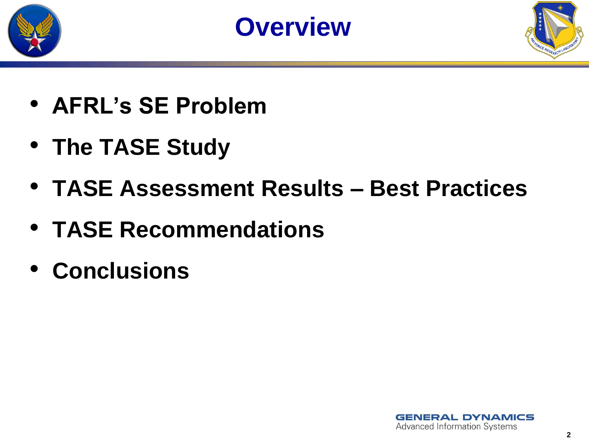





- **AFRL's SE Problem**
- **The TASE Study**
- **TASE Assessment Results – Best Practices**
- **TASE Recommendations**
- **Conclusions**

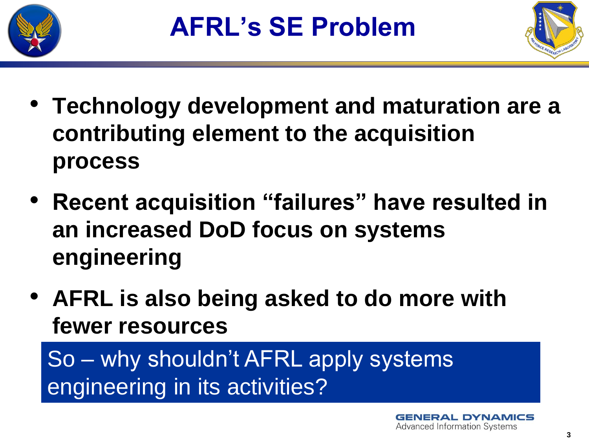



- **Technology development and maturation are a contributing element to the acquisition process**
- **Recent acquisition "failures" have resulted in an increased DoD focus on systems engineering**
- **AFRL is also being asked to do more with fewer resources**

So – why shouldn't AFRL apply systems engineering in its activities?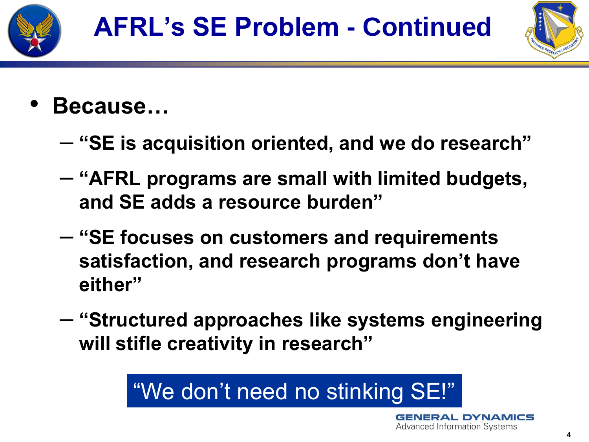



- **Because…**
	- **"SE is acquisition oriented, and we do research"**
	- **"AFRL programs are small with limited budgets, and SE adds a resource burden"**
	- **"SE focuses on customers and requirements satisfaction, and research programs don't have either"**
	- **"Structured approaches like systems engineering will stifle creativity in research"**

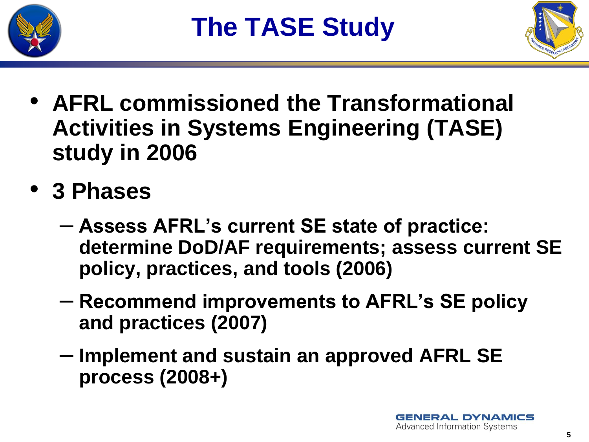



- **AFRL commissioned the Transformational Activities in Systems Engineering (TASE) study in 2006**
- **3 Phases**
	- **Assess AFRL's current SE state of practice: determine DoD/AF requirements; assess current SE policy, practices, and tools (2006)**
	- **Recommend improvements to AFRL's SE policy and practices (2007)**
	- **Implement and sustain an approved AFRL SE process (2008+)**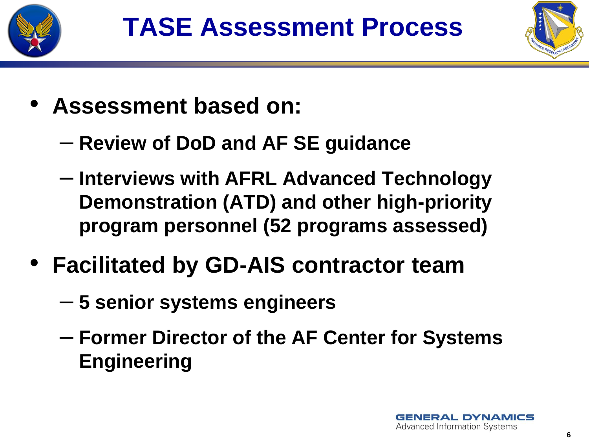



- **Assessment based on:**
	- **Review of DoD and AF SE guidance**
	- **Interviews with AFRL Advanced Technology Demonstration (ATD) and other high-priority program personnel (52 programs assessed)**
- **Facilitated by GD-AIS contractor team**
	- **5 senior systems engineers**
	- **Former Director of the AF Center for Systems Engineering**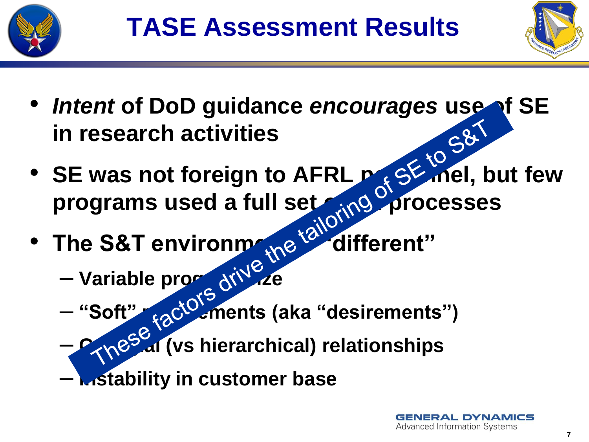



- *Intent* of DoD guidance *encourages* use of SE<br>in research activities<br>• SE was not foreign to the set of the set of SE **in research activities**
- SE was not foreign to AFRL perfolder but few programs used a full set and processes
- The S&T environment<sup>8</sup> different"
	- Variable programents
	- "Soft" <sub>fa</sub>ct<sup>o</sup> ments (aka "desirements")<br>Can<sup>eS</sup> al (vs hierarchical) relationships
	- **Collegial (vs hierarchical) relationships**
	- **Instability in customer base**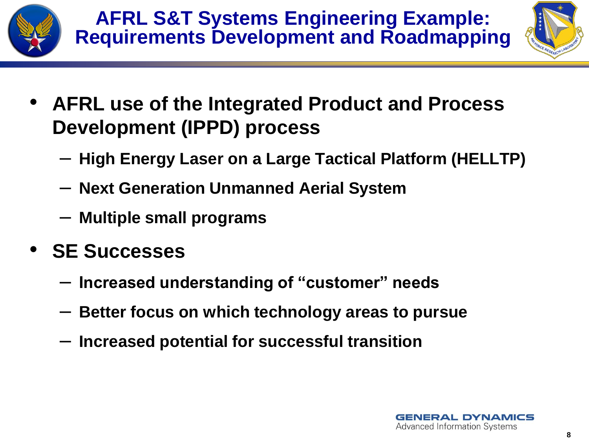



- **AFRL use of the Integrated Product and Process Development (IPPD) process**
	- **High Energy Laser on a Large Tactical Platform (HELLTP)**
	- **Next Generation Unmanned Aerial System**
	- **Multiple small programs**
- **SE Successes**
	- **Increased understanding of "customer" needs**
	- **Better focus on which technology areas to pursue**
	- **Increased potential for successful transition**

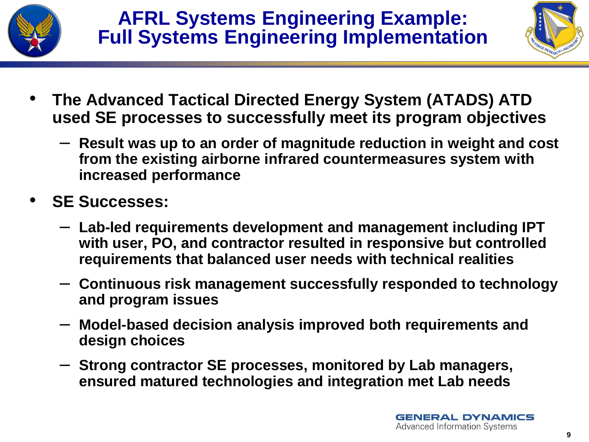



- **The Advanced Tactical Directed Energy System (ATADS) ATD used SE processes to successfully meet its program objectives**
	- **Result was up to an order of magnitude reduction in weight and cost from the existing airborne infrared countermeasures system with increased performance**
- **SE Successes:**
	- **Lab-led requirements development and management including IPT with user, PO, and contractor resulted in responsive but controlled requirements that balanced user needs with technical realities**
	- **Continuous risk management successfully responded to technology and program issues**
	- **Model-based decision analysis improved both requirements and design choices**
	- **Strong contractor SE processes, monitored by Lab managers, ensured matured technologies and integration met Lab needs**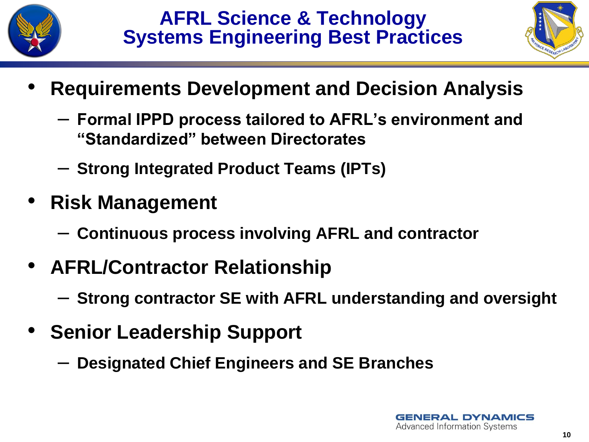



- **Requirements Development and Decision Analysis**
	- **Formal IPPD process tailored to AFRL's environment and "Standardized" between Directorates**
	- **Strong Integrated Product Teams (IPTs)**
- **Risk Management**
	- **Continuous process involving AFRL and contractor**
- **AFRL/Contractor Relationship**
	- **Strong contractor SE with AFRL understanding and oversight**
- **Senior Leadership Support**
	- **Designated Chief Engineers and SE Branches**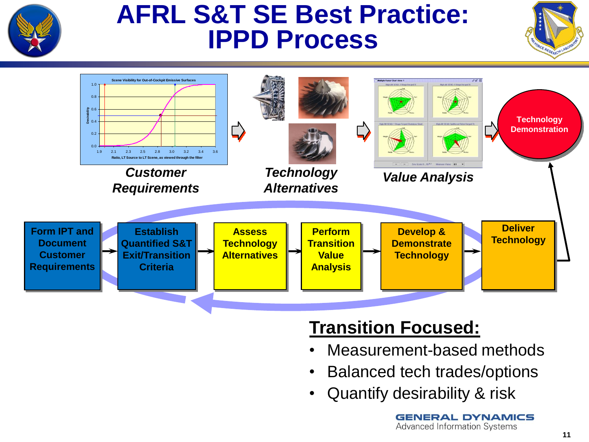

# **AFRL S&T SE Best Practice: IPPD Process**





#### **Transition Focused:**

- Measurement-based methods
- Balanced tech trades/options
- 

**GENERAL DYNAMICS Advanced Information Systems**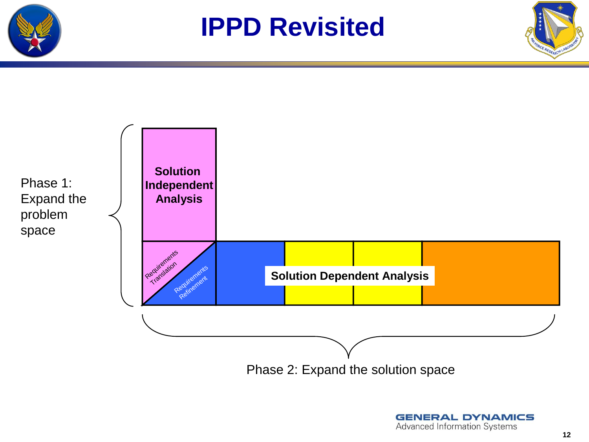





**GENERAL DYNAMICS Advanced Information Systems**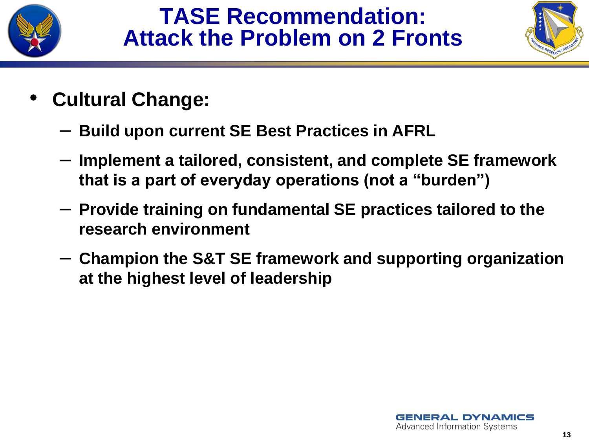

### **TASE Recommendation: Attack the Problem on 2 Fronts**



- **Cultural Change:**
	- **Build upon current SE Best Practices in AFRL**
	- **Implement a tailored, consistent, and complete SE framework that is a part of everyday operations (not a "burden")**
	- **Provide training on fundamental SE practices tailored to the research environment**
	- **Champion the S&T SE framework and supporting organization at the highest level of leadership**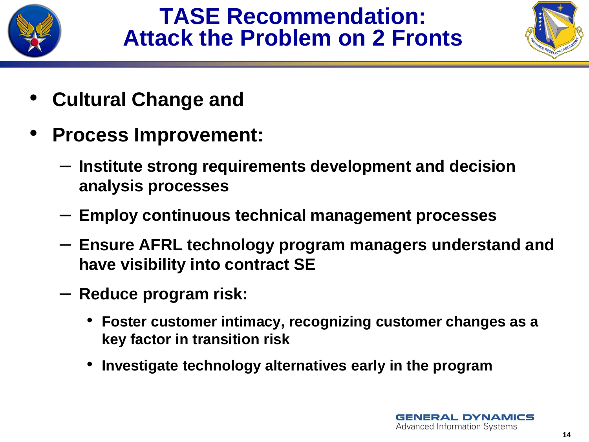

## **TASE Recommendation: Attack the Problem on 2 Fronts**



- **Cultural Change and**
- **Process Improvement:**
	- **Institute strong requirements development and decision analysis processes**
	- **Employ continuous technical management processes**
	- **Ensure AFRL technology program managers understand and have visibility into contract SE**
	- **Reduce program risk:**
		- **Foster customer intimacy, recognizing customer changes as a key factor in transition risk**
		- **Investigate technology alternatives early in the program**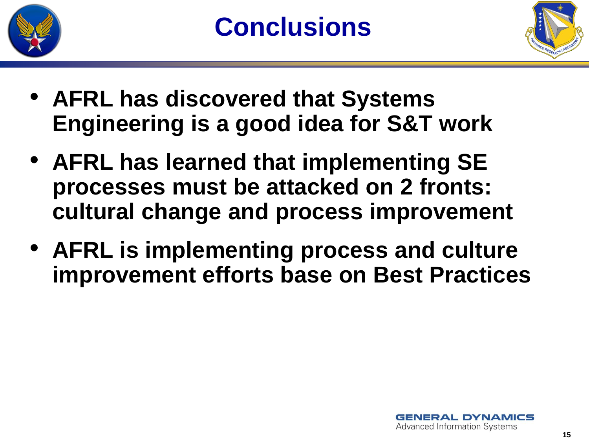



- **AFRL has discovered that Systems Engineering is a good idea for S&T work**
- **AFRL has learned that implementing SE processes must be attacked on 2 fronts: cultural change and process improvement**
- **AFRL is implementing process and culture improvement efforts base on Best Practices**